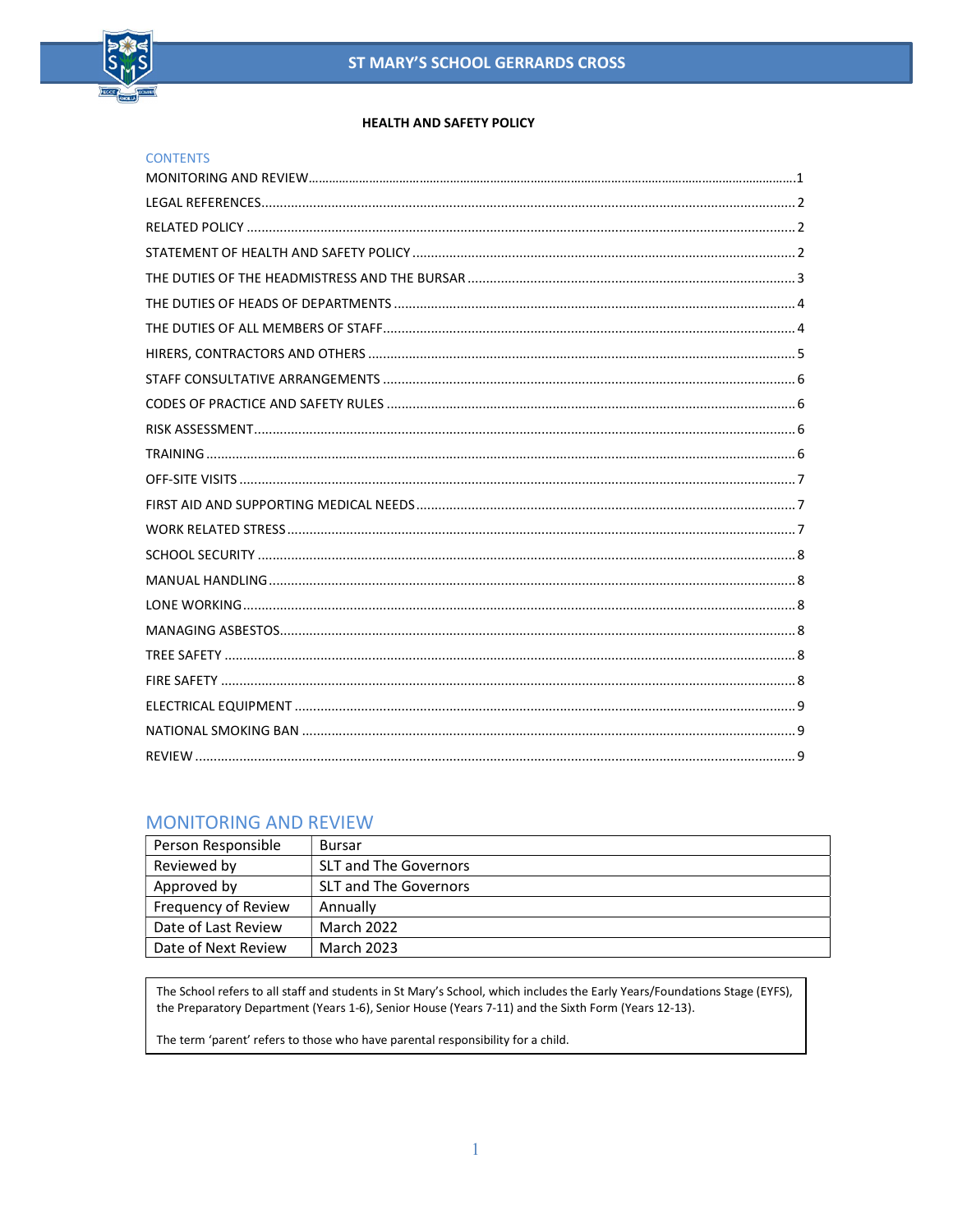

#### **HEALTH AND SAFETY POLICY**

| <b>CONTENTS</b> |
|-----------------|
|                 |
|                 |
|                 |
|                 |
|                 |
|                 |
|                 |
|                 |
|                 |
|                 |
|                 |
|                 |
|                 |
|                 |
|                 |
|                 |
|                 |
|                 |
|                 |
|                 |
|                 |
|                 |
|                 |
|                 |

## **MONITORING AND REVIEW**

| Person Responsible  | Bursar                       |
|---------------------|------------------------------|
| Reviewed by         | <b>SLT and The Governors</b> |
| Approved by         | <b>SLT and The Governors</b> |
| Frequency of Review | Annually                     |
| Date of Last Review | March 2022                   |
| Date of Next Review | March 2023                   |

The School refers to all staff and students in St Mary's School, which includes the Early Years/Foundations Stage (EYFS), the Preparatory Department (Years 1-6), Senior House (Years 7-11) and the Sixth Form (Years 12-13).

The term 'parent' refers to those who have parental responsibility for a child.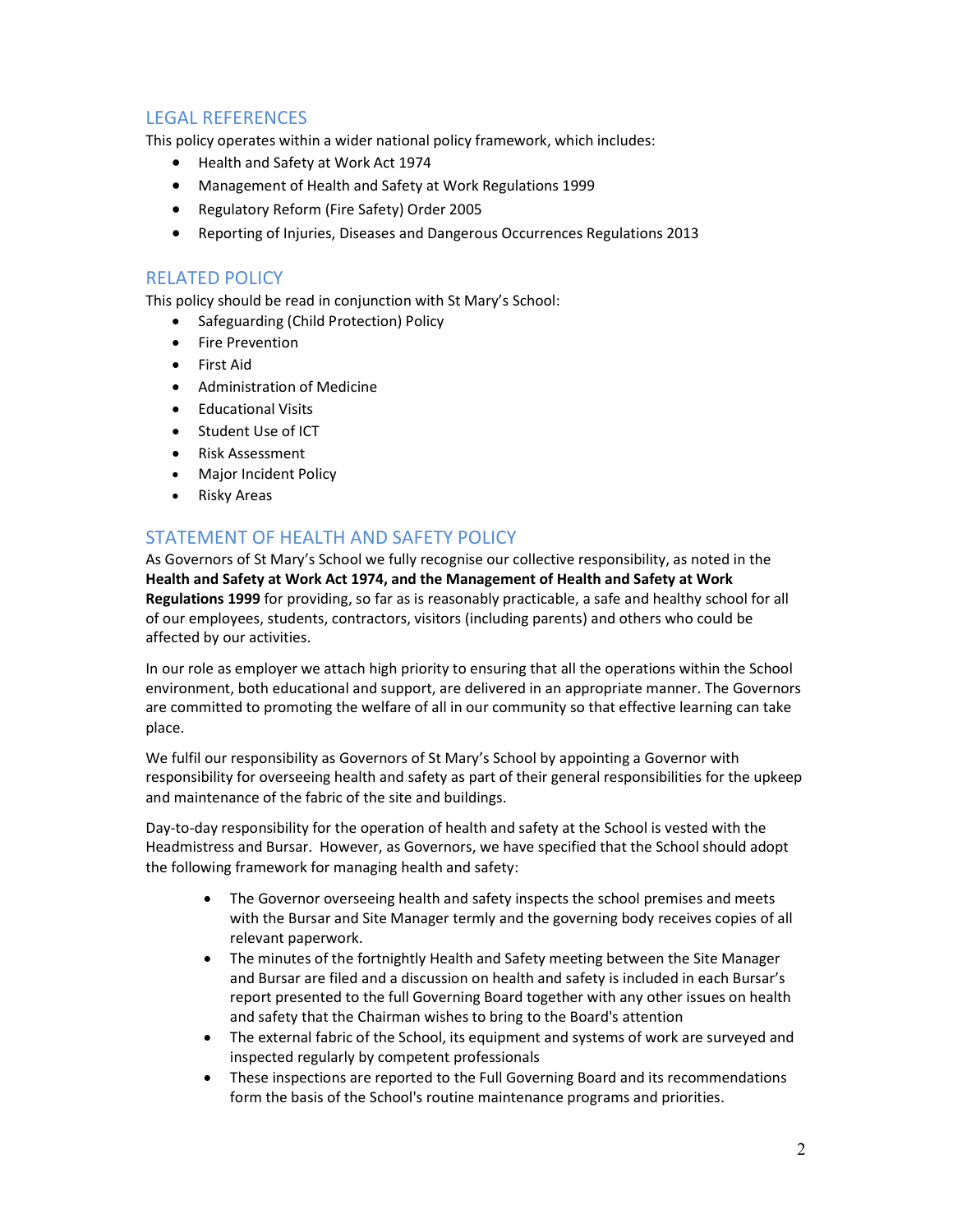## LEGAL REFERENCES

This policy operates within a wider national policy framework, which includes:

- Health and Safety at Work Act 1974
- Management of Health and Safety at Work Regulations 1999
- Regulatory Reform (Fire Safety) Order 2005
- Reporting of Injuries, Diseases and Dangerous Occurrences Regulations 2013

#### RELATED POLICY

This policy should be read in conjunction with St Mary's School:

- Safeguarding (Child Protection) Policy
- Fire Prevention
- First Aid
- Administration of Medicine
- **•** Educational Visits
- Student Use of ICT
- Risk Assessment
- Major Incident Policy
- Risky Areas

# STATEMENT OF HEALTH AND SAFETY POLICY

As Governors of St Mary's School we fully recognise our collective responsibility, as noted in the Health and Safety at Work Act 1974, and the Management of Health and Safety at Work Regulations 1999 for providing, so far as is reasonably practicable, a safe and healthy school for all of our employees, students, contractors, visitors (including parents) and others who could be affected by our activities.

In our role as employer we attach high priority to ensuring that all the operations within the School environment, both educational and support, are delivered in an appropriate manner. The Governors are committed to promoting the welfare of all in our community so that effective learning can take place.

We fulfil our responsibility as Governors of St Mary's School by appointing a Governor with responsibility for overseeing health and safety as part of their general responsibilities for the upkeep and maintenance of the fabric of the site and buildings.

Day-to-day responsibility for the operation of health and safety at the School is vested with the Headmistress and Bursar. However, as Governors, we have specified that the School should adopt the following framework for managing health and safety:

- The Governor overseeing health and safety inspects the school premises and meets with the Bursar and Site Manager termly and the governing body receives copies of all relevant paperwork.
- The minutes of the fortnightly Health and Safety meeting between the Site Manager and Bursar are filed and a discussion on health and safety is included in each Bursar's report presented to the full Governing Board together with any other issues on health and safety that the Chairman wishes to bring to the Board's attention
- The external fabric of the School, its equipment and systems of work are surveyed and inspected regularly by competent professionals
- These inspections are reported to the Full Governing Board and its recommendations form the basis of the School's routine maintenance programs and priorities.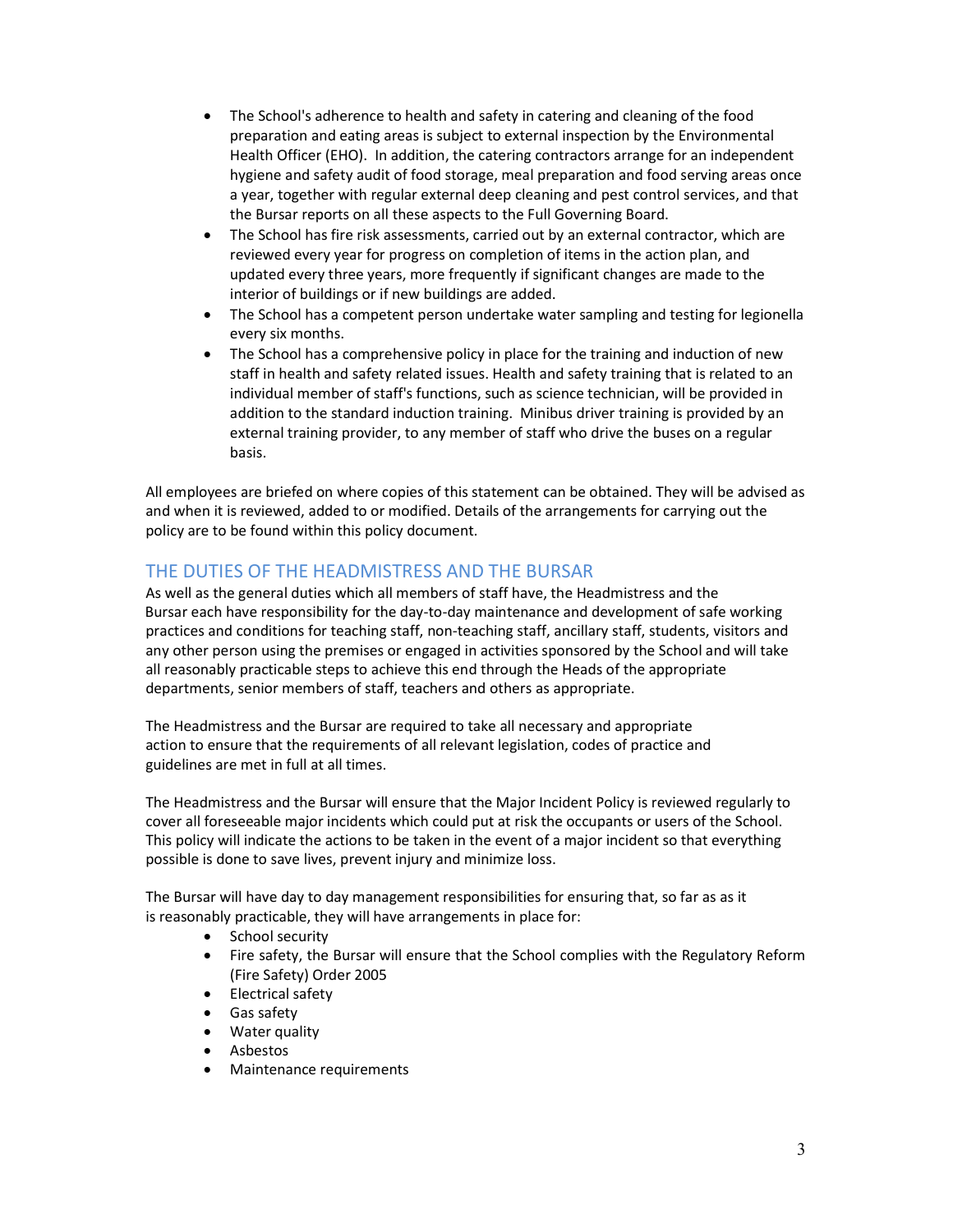- The School's adherence to health and safety in catering and cleaning of the food preparation and eating areas is subject to external inspection by the Environmental Health Officer (EHO). In addition, the catering contractors arrange for an independent hygiene and safety audit of food storage, meal preparation and food serving areas once a year, together with regular external deep cleaning and pest control services, and that the Bursar reports on all these aspects to the Full Governing Board.
- The School has fire risk assessments, carried out by an external contractor, which are reviewed every year for progress on completion of items in the action plan, and updated every three years, more frequently if significant changes are made to the interior of buildings or if new buildings are added.
- The School has a competent person undertake water sampling and testing for legionella every six months.
- The School has a comprehensive policy in place for the training and induction of new staff in health and safety related issues. Health and safety training that is related to an individual member of staff's functions, such as science technician, will be provided in addition to the standard induction training. Minibus driver training is provided by an external training provider, to any member of staff who drive the buses on a regular basis.

All employees are briefed on where copies of this statement can be obtained. They will be advised as and when it is reviewed, added to or modified. Details of the arrangements for carrying out the policy are to be found within this policy document.

## THE DUTIES OF THE HEADMISTRESS AND THE BURSAR

As well as the general duties which all members of staff have, the Headmistress and the Bursar each have responsibility for the day-to-day maintenance and development of safe working practices and conditions for teaching staff, non-teaching staff, ancillary staff, students, visitors and any other person using the premises or engaged in activities sponsored by the School and will take all reasonably practicable steps to achieve this end through the Heads of the appropriate departments, senior members of staff, teachers and others as appropriate.

The Headmistress and the Bursar are required to take all necessary and appropriate action to ensure that the requirements of all relevant legislation, codes of practice and guidelines are met in full at all times.

The Headmistress and the Bursar will ensure that the Major Incident Policy is reviewed regularly to cover all foreseeable major incidents which could put at risk the occupants or users of the School. This policy will indicate the actions to be taken in the event of a major incident so that everything possible is done to save lives, prevent injury and minimize loss.

The Bursar will have day to day management responsibilities for ensuring that, so far as as it is reasonably practicable, they will have arrangements in place for:

- School security
- Fire safety, the Bursar will ensure that the School complies with the Regulatory Reform (Fire Safety) Order 2005
- Electrical safety
- Gas safety
- Water quality
- Asbestos
- Maintenance requirements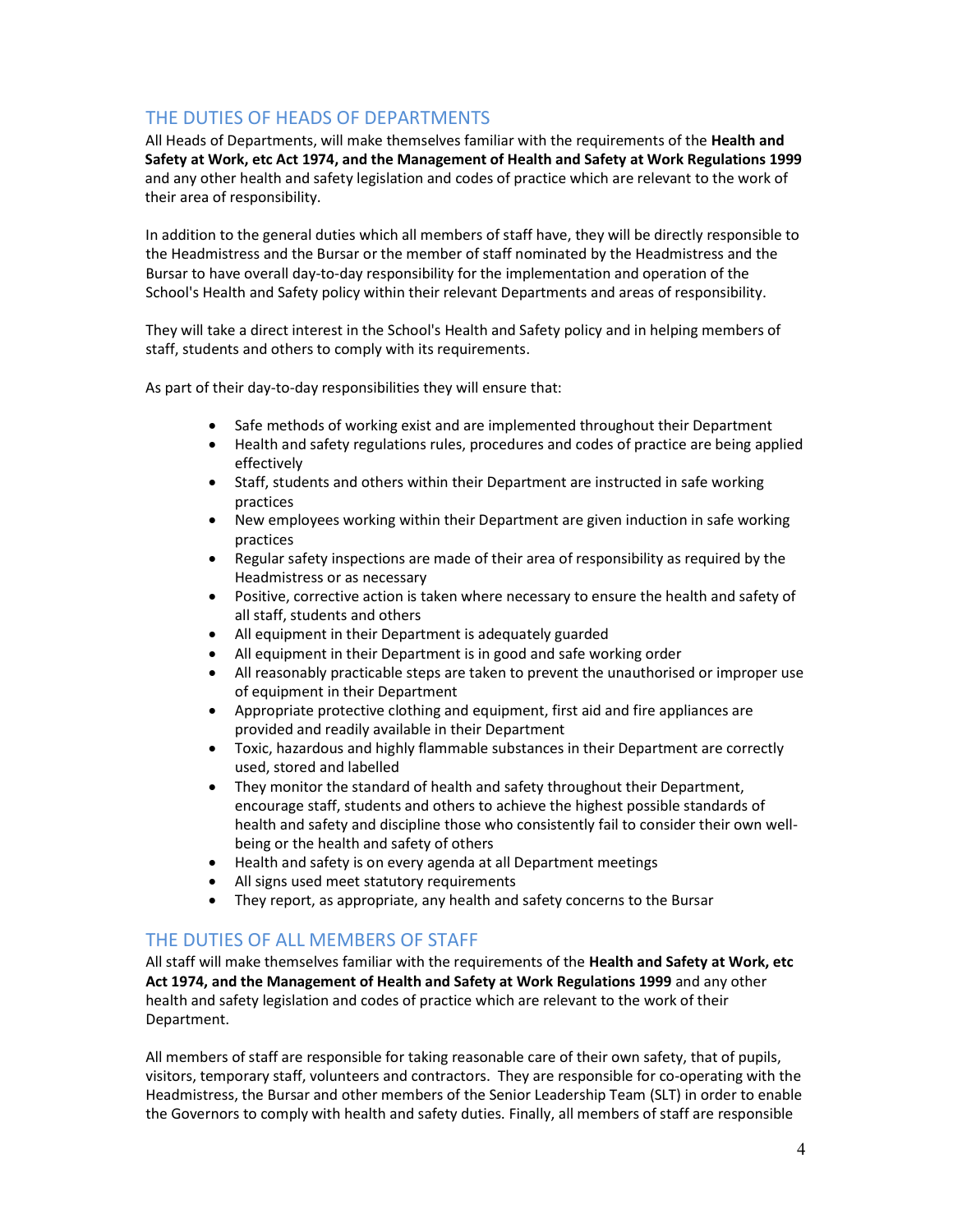# THE DUTIES OF HEADS OF DEPARTMENTS

All Heads of Departments, will make themselves familiar with the requirements of the Health and Safety at Work, etc Act 1974, and the Management of Health and Safety at Work Regulations 1999 and any other health and safety legislation and codes of practice which are relevant to the work of their area of responsibility.

 In addition to the general duties which all members of staff have, they will be directly responsible to the Headmistress and the Bursar or the member of staff nominated by the Headmistress and the Bursar to have overall day-to-day responsibility for the implementation and operation of the School's Health and Safety policy within their relevant Departments and areas of responsibility.

They will take a direct interest in the School's Health and Safety policy and in helping members of staff, students and others to comply with its requirements.

As part of their day-to-day responsibilities they will ensure that:

- Safe methods of working exist and are implemented throughout their Department
- Health and safety regulations rules, procedures and codes of practice are being applied effectively
- Staff, students and others within their Department are instructed in safe working practices
- New employees working within their Department are given induction in safe working practices
- Regular safety inspections are made of their area of responsibility as required by the Headmistress or as necessary
- Positive, corrective action is taken where necessary to ensure the health and safety of all staff, students and others
- All equipment in their Department is adequately guarded
- All equipment in their Department is in good and safe working order
- All reasonably practicable steps are taken to prevent the unauthorised or improper use of equipment in their Department
- Appropriate protective clothing and equipment, first aid and fire appliances are provided and readily available in their Department
- Toxic, hazardous and highly flammable substances in their Department are correctly used, stored and labelled
- They monitor the standard of health and safety throughout their Department, encourage staff, students and others to achieve the highest possible standards of health and safety and discipline those who consistently fail to consider their own wellbeing or the health and safety of others
- Health and safety is on every agenda at all Department meetings
- All signs used meet statutory requirements
- They report, as appropriate, any health and safety concerns to the Bursar

# THE DUTIES OF ALL MEMBERS OF STAFF

All staff will make themselves familiar with the requirements of the Health and Safety at Work, etc Act 1974, and the Management of Health and Safety at Work Regulations 1999 and any other health and safety legislation and codes of practice which are relevant to the work of their Department.

All members of staff are responsible for taking reasonable care of their own safety, that of pupils, visitors, temporary staff, volunteers and contractors. They are responsible for co-operating with the Headmistress, the Bursar and other members of the Senior Leadership Team (SLT) in order to enable the Governors to comply with health and safety duties. Finally, all members of staff are responsible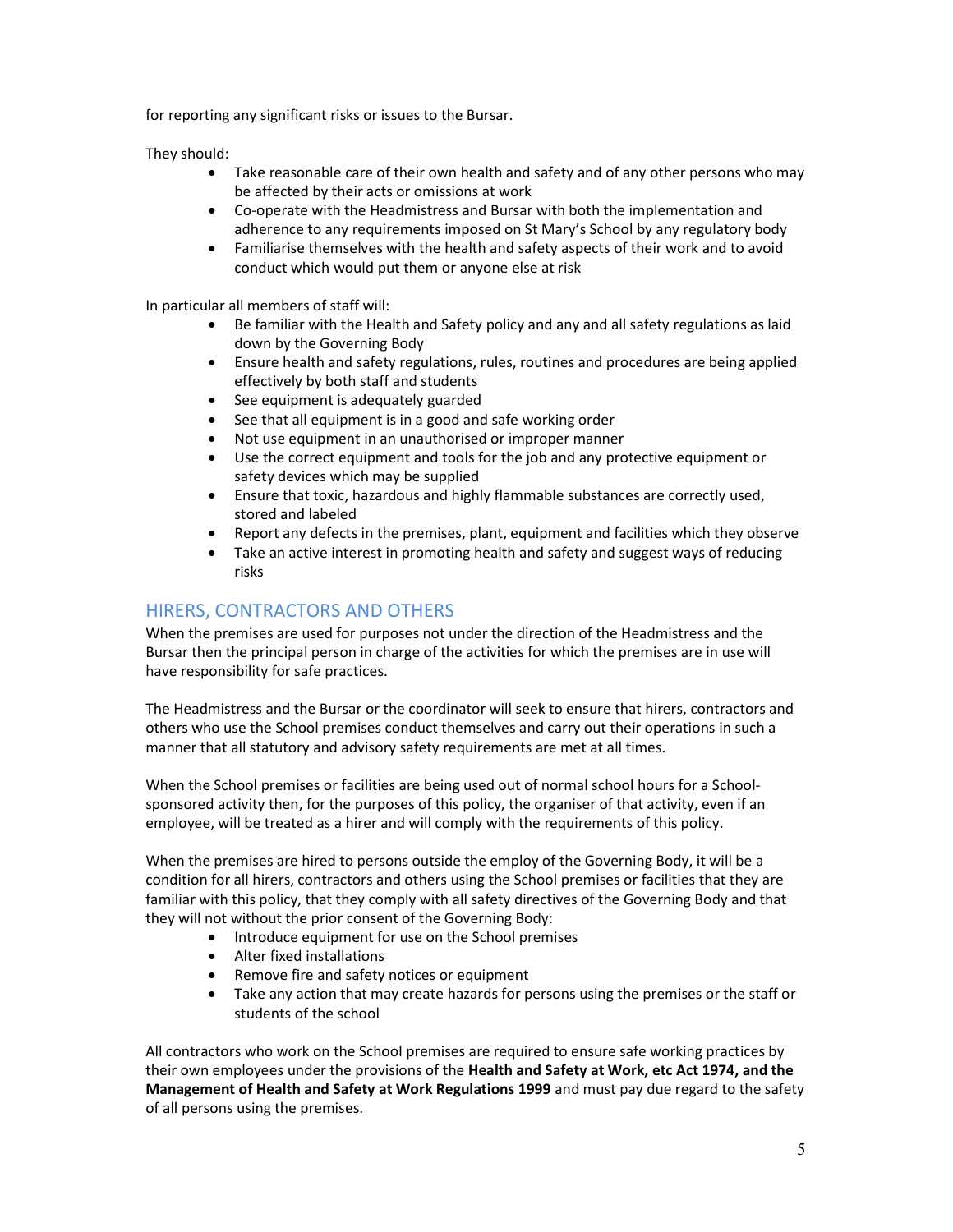for reporting any significant risks or issues to the Bursar.

They should:

- Take reasonable care of their own health and safety and of any other persons who may be affected by their acts or omissions at work
- Co-operate with the Headmistress and Bursar with both the implementation and adherence to any requirements imposed on St Mary's School by any regulatory body
- Familiarise themselves with the health and safety aspects of their work and to avoid conduct which would put them or anyone else at risk

In particular all members of staff will:

- Be familiar with the Health and Safety policy and any and all safety regulations as laid down by the Governing Body
- Ensure health and safety regulations, rules, routines and procedures are being applied effectively by both staff and students
- See equipment is adequately guarded
- See that all equipment is in a good and safe working order
- Not use equipment in an unauthorised or improper manner
- Use the correct equipment and tools for the job and any protective equipment or safety devices which may be supplied
- Ensure that toxic, hazardous and highly flammable substances are correctly used, stored and labeled
- Report any defects in the premises, plant, equipment and facilities which they observe
- Take an active interest in promoting health and safety and suggest ways of reducing risks

## HIRERS, CONTRACTORS AND OTHERS

When the premises are used for purposes not under the direction of the Headmistress and the Bursar then the principal person in charge of the activities for which the premises are in use will have responsibility for safe practices.

The Headmistress and the Bursar or the coordinator will seek to ensure that hirers, contractors and others who use the School premises conduct themselves and carry out their operations in such a manner that all statutory and advisory safety requirements are met at all times.

When the School premises or facilities are being used out of normal school hours for a Schoolsponsored activity then, for the purposes of this policy, the organiser of that activity, even if an employee, will be treated as a hirer and will comply with the requirements of this policy.

When the premises are hired to persons outside the employ of the Governing Body, it will be a condition for all hirers, contractors and others using the School premises or facilities that they are familiar with this policy, that they comply with all safety directives of the Governing Body and that they will not without the prior consent of the Governing Body:

- Introduce equipment for use on the School premises
- Alter fixed installations
- Remove fire and safety notices or equipment
- Take any action that may create hazards for persons using the premises or the staff or students of the school

All contractors who work on the School premises are required to ensure safe working practices by their own employees under the provisions of the Health and Safety at Work, etc Act 1974, and the Management of Health and Safety at Work Regulations 1999 and must pay due regard to the safety of all persons using the premises.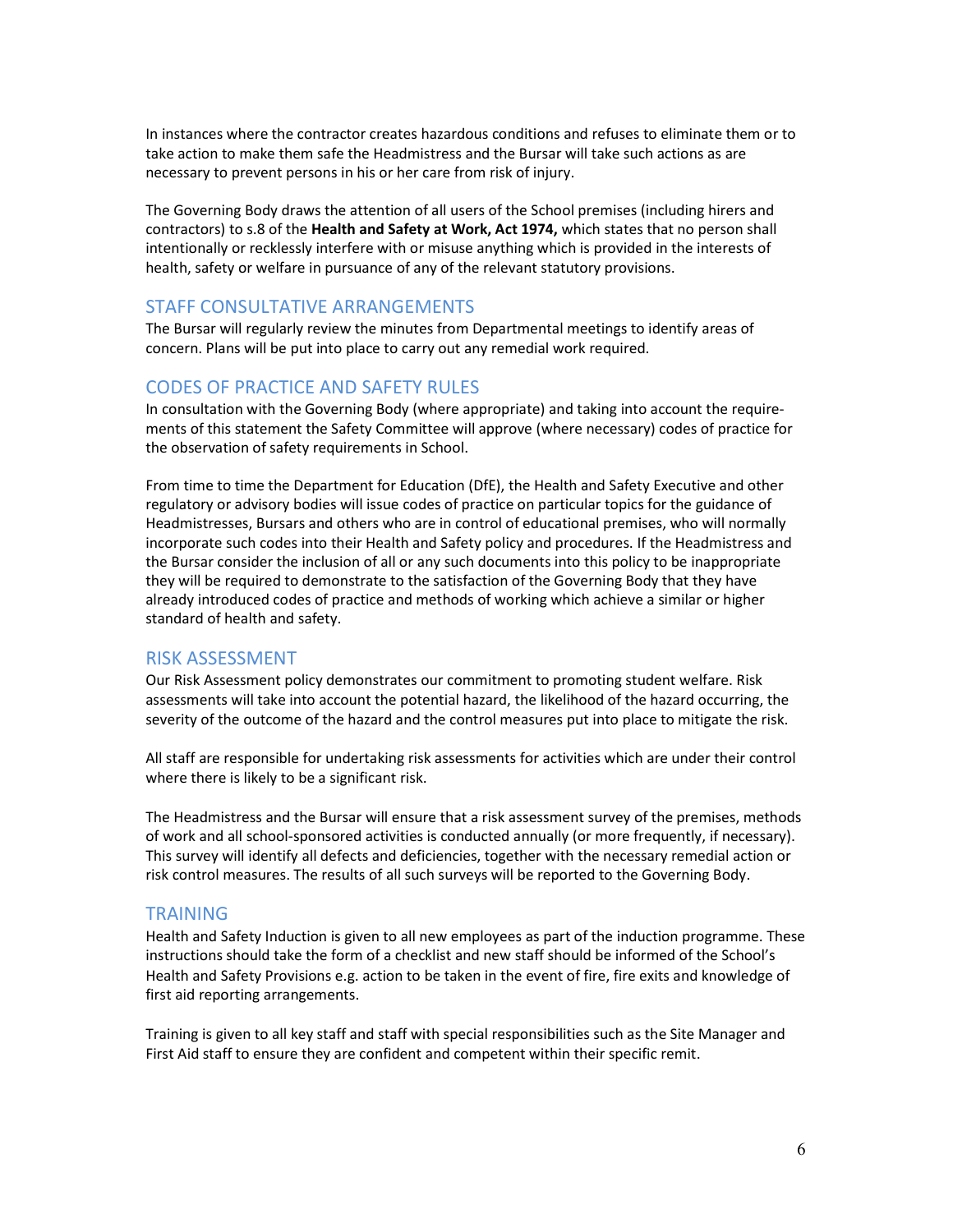In instances where the contractor creates hazardous conditions and refuses to eliminate them or to take action to make them safe the Headmistress and the Bursar will take such actions as are necessary to prevent persons in his or her care from risk of injury.

The Governing Body draws the attention of all users of the School premises (including hirers and contractors) to s.8 of the Health and Safety at Work, Act 1974, which states that no person shall intentionally or recklessly interfere with or misuse anything which is provided in the interests of health, safety or welfare in pursuance of any of the relevant statutory provisions.

#### STAFF CONSULTATIVE ARRANGEMENTS

The Bursar will regularly review the minutes from Departmental meetings to identify areas of concern. Plans will be put into place to carry out any remedial work required.

#### CODES OF PRACTICE AND SAFETY RULES

In consultation with the Governing Body (where appropriate) and taking into account the requirements of this statement the Safety Committee will approve (where necessary) codes of practice for the observation of safety requirements in School.

From time to time the Department for Education (DfE), the Health and Safety Executive and other regulatory or advisory bodies will issue codes of practice on particular topics for the guidance of Headmistresses, Bursars and others who are in control of educational premises, who will normally incorporate such codes into their Health and Safety policy and procedures. If the Headmistress and the Bursar consider the inclusion of all or any such documents into this policy to be inappropriate they will be required to demonstrate to the satisfaction of the Governing Body that they have already introduced codes of practice and methods of working which achieve a similar or higher standard of health and safety.

#### RISK ASSESSMENT

Our Risk Assessment policy demonstrates our commitment to promoting student welfare. Risk assessments will take into account the potential hazard, the likelihood of the hazard occurring, the severity of the outcome of the hazard and the control measures put into place to mitigate the risk.

All staff are responsible for undertaking risk assessments for activities which are under their control where there is likely to be a significant risk.

The Headmistress and the Bursar will ensure that a risk assessment survey of the premises, methods of work and all school-sponsored activities is conducted annually (or more frequently, if necessary). This survey will identify all defects and deficiencies, together with the necessary remedial action or risk control measures. The results of all such surveys will be reported to the Governing Body.

#### TRAINING

Health and Safety Induction is given to all new employees as part of the induction programme. These instructions should take the form of a checklist and new staff should be informed of the School's Health and Safety Provisions e.g. action to be taken in the event of fire, fire exits and knowledge of first aid reporting arrangements.

Training is given to all key staff and staff with special responsibilities such as the Site Manager and First Aid staff to ensure they are confident and competent within their specific remit.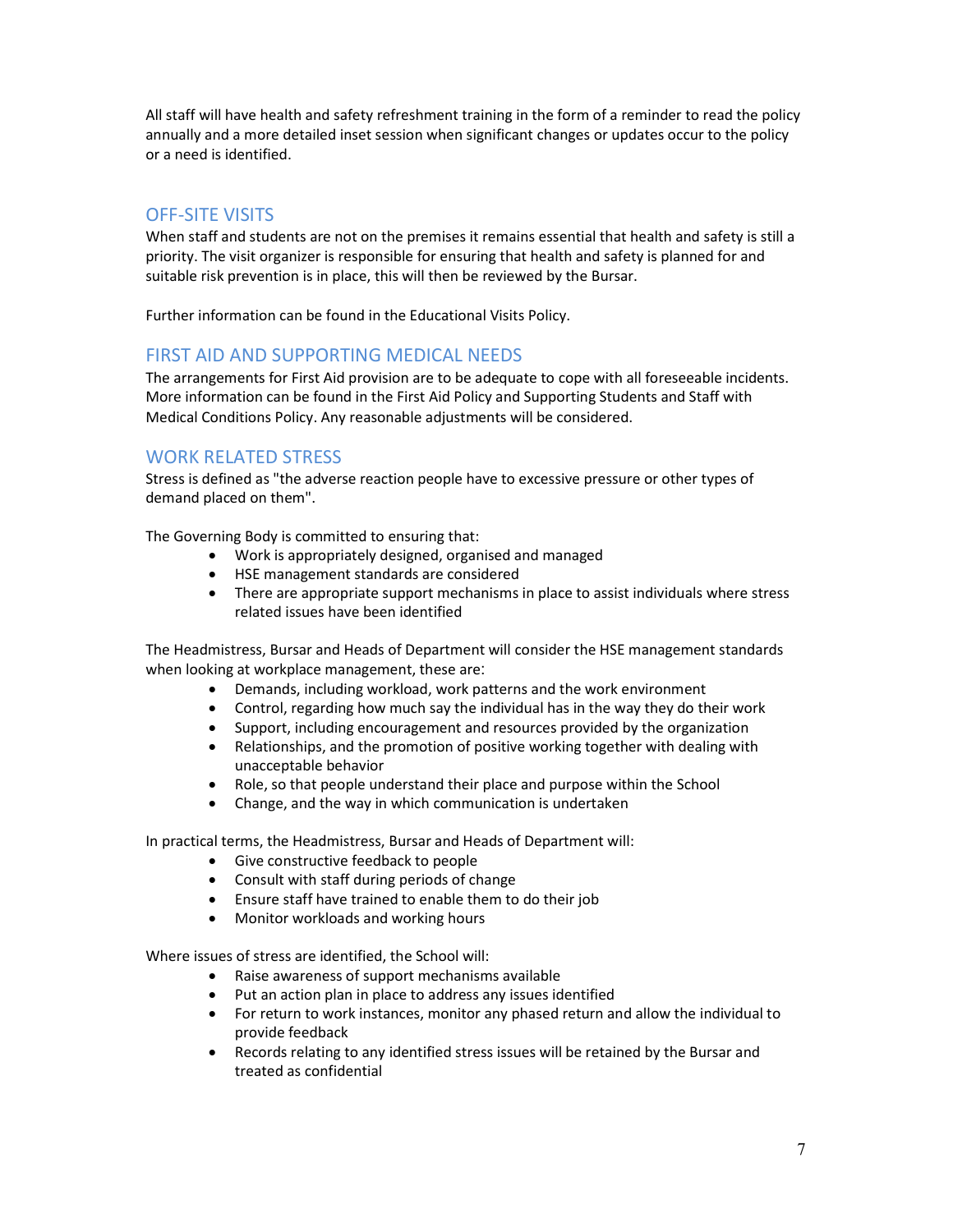All staff will have health and safety refreshment training in the form of a reminder to read the policy annually and a more detailed inset session when significant changes or updates occur to the policy or a need is identified.

# OFF-SITE VISITS

When staff and students are not on the premises it remains essential that health and safety is still a priority. The visit organizer is responsible for ensuring that health and safety is planned for and suitable risk prevention is in place, this will then be reviewed by the Bursar.

Further information can be found in the Educational Visits Policy.

## FIRST AID AND SUPPORTING MEDICAL NEEDS

The arrangements for First Aid provision are to be adequate to cope with all foreseeable incidents. More information can be found in the First Aid Policy and Supporting Students and Staff with Medical Conditions Policy. Any reasonable adjustments will be considered.

# WORK RELATED STRESS

Stress is defined as "the adverse reaction people have to excessive pressure or other types of demand placed on them".

The Governing Body is committed to ensuring that:

- Work is appropriately designed, organised and managed
- HSE management standards are considered
- There are appropriate support mechanisms in place to assist individuals where stress related issues have been identified

The Headmistress, Bursar and Heads of Department will consider the HSE management standards when looking at workplace management, these are:

- Demands, including workload, work patterns and the work environment
- Control, regarding how much say the individual has in the way they do their work
- Support, including encouragement and resources provided by the organization
- Relationships, and the promotion of positive working together with dealing with unacceptable behavior
- Role, so that people understand their place and purpose within the School
- Change, and the way in which communication is undertaken

In practical terms, the Headmistress, Bursar and Heads of Department will:

- Give constructive feedback to people
- Consult with staff during periods of change
- Ensure staff have trained to enable them to do their job
- Monitor workloads and working hours

Where issues of stress are identified, the School will:

- Raise awareness of support mechanisms available
- Put an action plan in place to address any issues identified
- For return to work instances, monitor any phased return and allow the individual to provide feedback
- Records relating to any identified stress issues will be retained by the Bursar and treated as confidential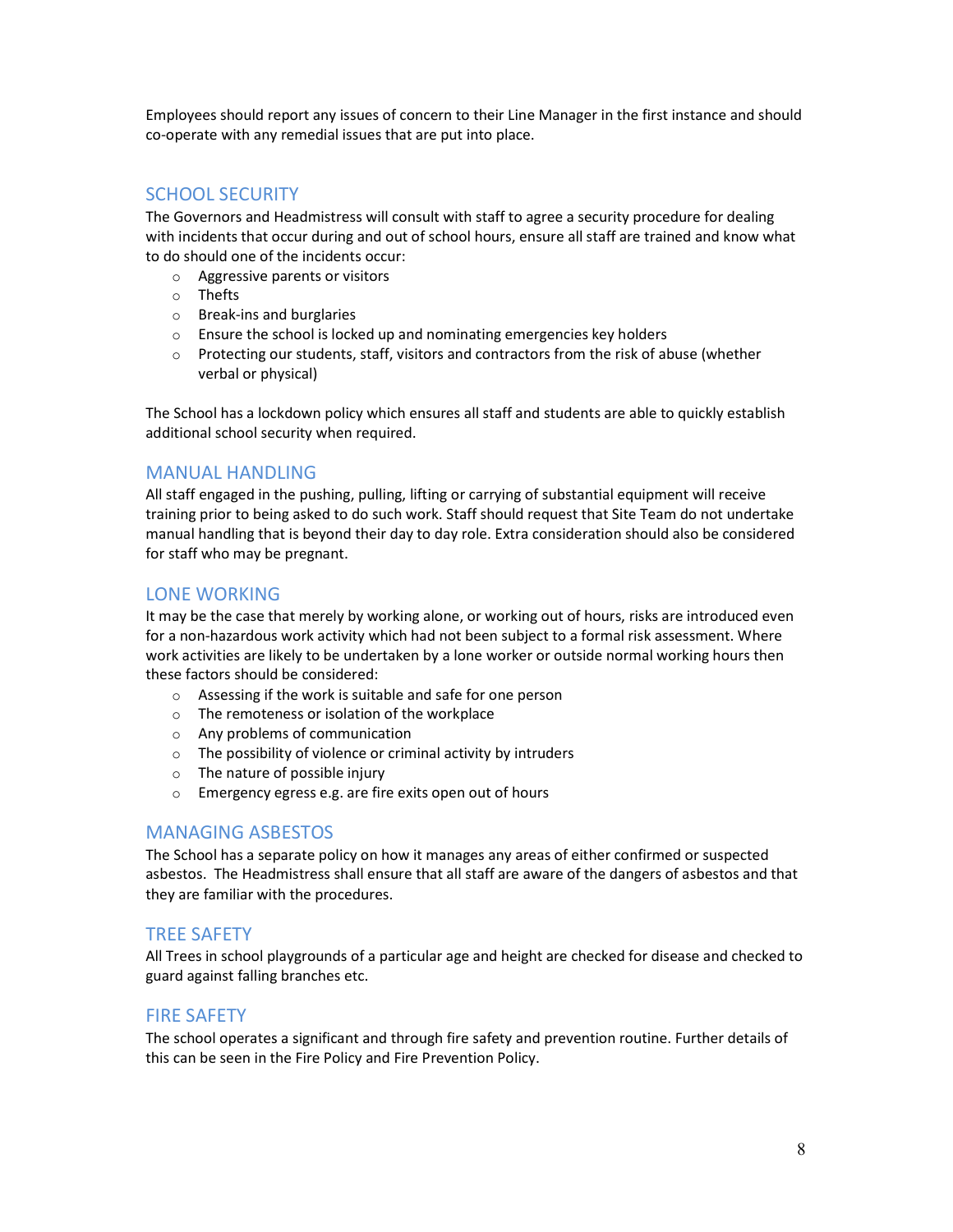Employees should report any issues of concern to their Line Manager in the first instance and should co-operate with any remedial issues that are put into place.

## SCHOOL SECURITY

The Governors and Headmistress will consult with staff to agree a security procedure for dealing with incidents that occur during and out of school hours, ensure all staff are trained and know what to do should one of the incidents occur:

- o Aggressive parents or visitors
- o Thefts
- o Break-ins and burglaries
- o Ensure the school is locked up and nominating emergencies key holders
- $\circ$  Protecting our students, staff, visitors and contractors from the risk of abuse (whether verbal or physical)

The School has a lockdown policy which ensures all staff and students are able to quickly establish additional school security when required.

## MANUAL HANDLING

All staff engaged in the pushing, pulling, lifting or carrying of substantial equipment will receive training prior to being asked to do such work. Staff should request that Site Team do not undertake manual handling that is beyond their day to day role. Extra consideration should also be considered for staff who may be pregnant.

#### LONE WORKING

It may be the case that merely by working alone, or working out of hours, risks are introduced even for a non-hazardous work activity which had not been subject to a formal risk assessment. Where work activities are likely to be undertaken by a lone worker or outside normal working hours then these factors should be considered:

- o Assessing if the work is suitable and safe for one person
- o The remoteness or isolation of the workplace
- o Any problems of communication
- o The possibility of violence or criminal activity by intruders
- $\circ$  The nature of possible injury
- o Emergency egress e.g. are fire exits open out of hours

## MANAGING ASBESTOS

The School has a separate policy on how it manages any areas of either confirmed or suspected asbestos. The Headmistress shall ensure that all staff are aware of the dangers of asbestos and that they are familiar with the procedures.

## TREE SAFETY

All Trees in school playgrounds of a particular age and height are checked for disease and checked to guard against falling branches etc.

## FIRE SAFETY

The school operates a significant and through fire safety and prevention routine. Further details of this can be seen in the Fire Policy and Fire Prevention Policy.